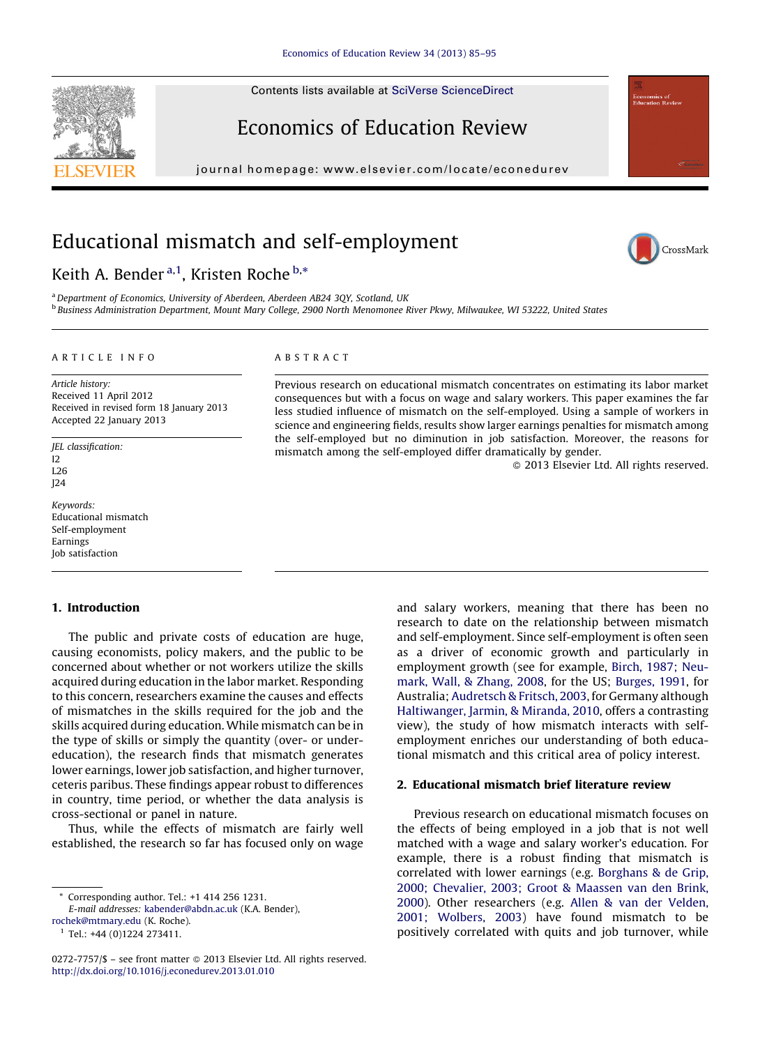Contents lists available at SciVerse ScienceDirect

## Economics of Education Review

journal homepage: www.elsevier.com/locate/econedurev

## Educational mismatch and self-employment

Keith A. Bender <sup>a, 1</sup>, Kristen Roche <sup>b,\*</sup>

<sup>a</sup> Department of Economics, University of Aberdeen, Aberdeen, AB24, 3OY, Scotland, UK <sup>b</sup> Business Administration Department, Mount Mary College, 2900 North Menomonee River Pkwy, Milwaukee, WI 53222, United States

#### A R T I C L E I N F O

Article history: Received 11 April 2012 Received in revised form 18 January 2013 Accepted 22 January 2013

JEL classification:  $12$ L26 J24

Keywords: Educational mismatch Self-employment Earnings Job satisfaction

### 1. Introduction

The public and private costs of education are huge, causing economists, policy makers, and the public to be concerned about whether or not workers utilize the skills acquired during education in the labor market. Responding to this concern, researchers examine the causes and effects of mismatches in the skills required for the job and the skills acquired during education. While mismatch can be in the type of skills or simply the quantity (over- or undereducation), the research finds that mismatch generates lower earnings, lower job satisfaction, and higher turnover, ceteris paribus. These findings appear robust to differences in country, time period, or whether the data analysis is cross-sectional or panel in nature.

Thus, while the effects of mismatch are fairly well established, the research so far has focused only on wage

[rochek@mtmary.edu](mailto:rochek@mtmary.edu) (K. Roche).

#### A B S T R A C T

Previous research on educational mismatch concentrates on estimating its labor market consequences but with a focus on wage and salary workers. This paper examines the far less studied influence of mismatch on the self-employed. Using a sample of workers in science and engineering fields, results show larger earnings penalties for mismatch among the self-employed but no diminution in job satisfaction. Moreover, the reasons for mismatch among the self-employed differ dramatically by gender.

- 2013 Elsevier Ltd. All rights reserved.

and salary workers, meaning that there has been no research to date on the relationship between mismatch and self-employment. Since self-employment is often seen as a driver of economic growth and particularly in employment growth (see for example, Birch, [1987;](#page--1-0) Neumark, Wall, & [Zhang,](#page--1-0) 2008, for the US; [Burges,](#page--1-0) 1991, for Australia; [Audretsch](#page--1-0) & Fritsch, 2003, for Germany although [Haltiwanger,](#page--1-0) Jarmin, & Miranda, 2010, offers a contrasting view), the study of how mismatch interacts with selfemployment enriches our understanding of both educational mismatch and this critical area of policy interest.

#### 2. Educational mismatch brief literature review

Previous research on educational mismatch focuses on the effects of being employed in a job that is not well matched with a wage and salary worker's education. For example, there is a robust finding that mismatch is correlated with lower earnings (e.g. [Borghans](#page--1-0) & de Grip, 2000; [Chevalier,](#page--1-0) 2003; Groot & Maassen van den Brink, [2000\)](#page--1-0). Other researchers (e.g. Allen & van der [Velden,](#page--1-0) 2001; [Wolbers,](#page--1-0) 2003) have found mismatch to be positively correlated with quits and job turnover, while





<sup>\*</sup> Corresponding author. Tel.: +1 414 256 1231.

E-mail addresses: [kabender@abdn.ac.uk](mailto:kabender@abdn.ac.uk) (K.A. Bender),

<sup>1</sup> Tel.: +44 (0)1224 273411.

<sup>0272-7757/\$ –</sup> see front matter © 2013 Elsevier Ltd. All rights reserved. <http://dx.doi.org/10.1016/j.econedurev.2013.01.010>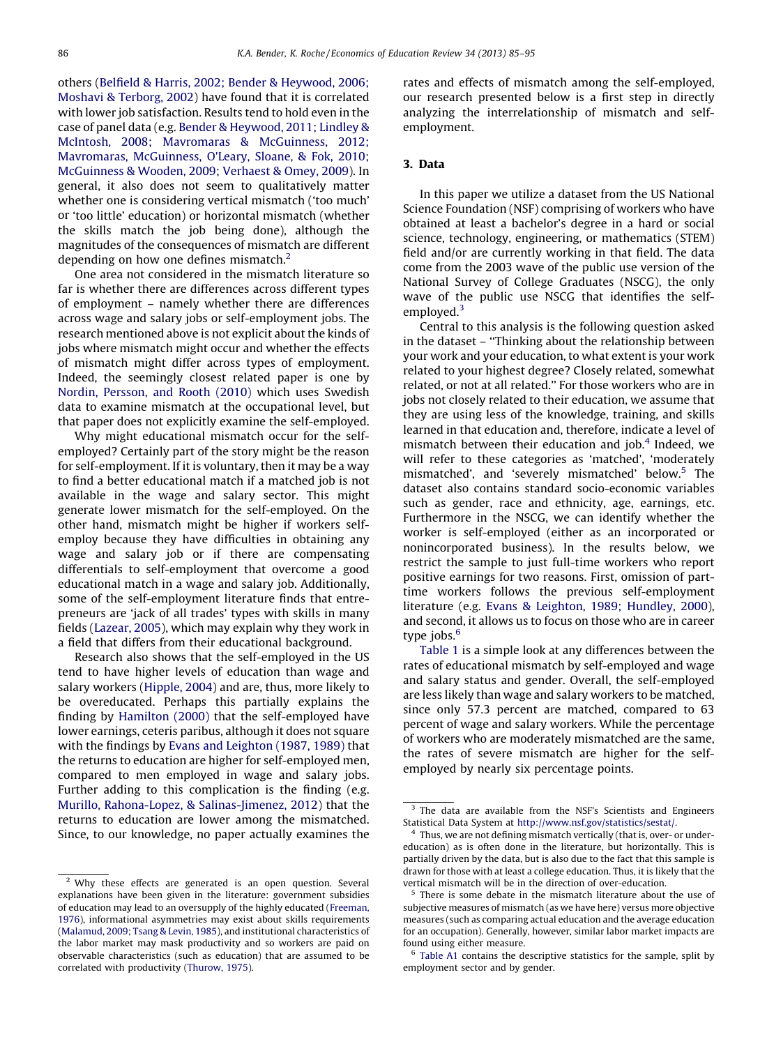others (Belfield & Harris, 2002; Bender & [Heywood,](#page--1-0) 2006; [Moshavi](#page--1-0) & Terborg, 2002) have found that it is correlated with lower job satisfaction. Results tend to hold even in the case of panel data (e.g. Bender & [Heywood,](#page--1-0) 2011; Lindley & McIntosh, 2008; Mavromaras & [McGuinness,](#page--1-0) 2012; [Mavromaras,](#page--1-0) McGuinness, O'Leary, Sloane, & Fok, 2010; [McGuinness](#page--1-0) & Wooden, 2009; Verhaest & Omey, 2009). In general, it also does not seem to qualitatively matter whether one is considering vertical mismatch ('too much' or 'too little' education) or horizontal mismatch (whether the skills match the job being done), although the magnitudes of the consequences of mismatch are different depending on how one defines mismatch. $2$ 

One area not considered in the mismatch literature so far is whether there are differences across different types of employment – namely whether there are differences across wage and salary jobs or self-employment jobs. The research mentioned above is not explicit about the kinds of jobs where mismatch might occur and whether the effects of mismatch might differ across types of employment. Indeed, the seemingly closest related paper is one by Nordin, [Persson,](#page--1-0) and Rooth (2010) which uses Swedish data to examine mismatch at the occupational level, but that paper does not explicitly examine the self-employed.

Why might educational mismatch occur for the selfemployed? Certainly part of the story might be the reason for self-employment. If it is voluntary, then it may be a way to find a better educational match if a matched job is not available in the wage and salary sector. This might generate lower mismatch for the self-employed. On the other hand, mismatch might be higher if workers selfemploy because they have difficulties in obtaining any wage and salary job or if there are compensating differentials to self-employment that overcome a good educational match in a wage and salary job. Additionally, some of the self-employment literature finds that entrepreneurs are 'jack of all trades' types with skills in many fields ([Lazear,](#page--1-0) 2005), which may explain why they work in a field that differs from their educational background.

Research also shows that the self-employed in the US tend to have higher levels of education than wage and salary workers [\(Hipple,](#page--1-0) 2004) and are, thus, more likely to be overeducated. Perhaps this partially explains the finding by [Hamilton](#page--1-0) (2000) that the self-employed have lower earnings, ceteris paribus, although it does not square with the findings by Evans and [Leighton](#page--1-0) (1987, 1989) that the returns to education are higher for self-employed men, compared to men employed in wage and salary jobs. Further adding to this complication is the finding (e.g. Murillo, Rahona-Lopez, & [Salinas-Jimenez,](#page--1-0) 2012) that the returns to education are lower among the mismatched. Since, to our knowledge, no paper actually examines the

rates and effects of mismatch among the self-employed, our research presented below is a first step in directly analyzing the interrelationship of mismatch and selfemployment.

#### 3. Data

In this paper we utilize a dataset from the US National Science Foundation (NSF) comprising of workers who have obtained at least a bachelor's degree in a hard or social science, technology, engineering, or mathematics (STEM) field and/or are currently working in that field. The data come from the 2003 wave of the public use version of the National Survey of College Graduates (NSCG), the only wave of the public use NSCG that identifies the selfemployed.<sup>3</sup>

Central to this analysis is the following question asked in the dataset – ''Thinking about the relationship between your work and your education, to what extent is your work related to your highest degree? Closely related, somewhat related, or not at all related.'' For those workers who are in jobs not closely related to their education, we assume that they are using less of the knowledge, training, and skills learned in that education and, therefore, indicate a level of mismatch between their education and job. $4$  Indeed, we will refer to these categories as 'matched', 'moderately mismatched', and 'severely mismatched' below.<sup>5</sup> The dataset also contains standard socio-economic variables such as gender, race and ethnicity, age, earnings, etc. Furthermore in the NSCG, we can identify whether the worker is self-employed (either as an incorporated or nonincorporated business). In the results below, we restrict the sample to just full-time workers who report positive earnings for two reasons. First, omission of parttime workers follows the previous self-employment literature (e.g. Evans & [Leighton,](#page--1-0) 1989; Hundley, 2000), and second, it allows us to focus on those who are in career type jobs. $<sup>6</sup>$ </sup>

[Table](#page--1-0) 1 is a simple look at any differences between the rates of educational mismatch by self-employed and wage and salary status and gender. Overall, the self-employed are less likely than wage and salary workers to be matched, since only 57.3 percent are matched, compared to 63 percent of wage and salary workers. While the percentage of workers who are moderately mismatched are the same, the rates of severe mismatch are higher for the selfemployed by nearly six percentage points.

<sup>&</sup>lt;sup>2</sup> Why these effects are generated is an open question. Several explanations have been given in the literature: government subsidies of education may lead to an oversupply of the highly educated [\(Freeman,](#page--1-0) [1976\)](#page--1-0), informational asymmetries may exist about skills requirements ([Malamud,](#page--1-0) 2009; Tsang & Levin, 1985), and institutional characteristics of the labor market may mask productivity and so workers are paid on observable characteristics (such as education) that are assumed to be correlated with productivity [\(Thurow,](#page--1-0) 1975).

<sup>&</sup>lt;sup>3</sup> The data are available from the NSF's Scientists and Engineers Statistical Data System at <http://www.nsf.gov/statistics/sestat/>.

Thus, we are not defining mismatch vertically (that is, over- or undereducation) as is often done in the literature, but horizontally. This is partially driven by the data, but is also due to the fact that this sample is drawn for those with at least a college education. Thus, it is likely that the vertical mismatch will be in the direction of over-education.

<sup>&</sup>lt;sup>5</sup> There is some debate in the mismatch literature about the use of subjective measures of mismatch (as we have here) versus more objective measures (such as comparing actual education and the average education for an occupation). Generally, however, similar labor market impacts are found using either measure.

[Table](#page--1-0) A1 contains the descriptive statistics for the sample, split by employment sector and by gender.